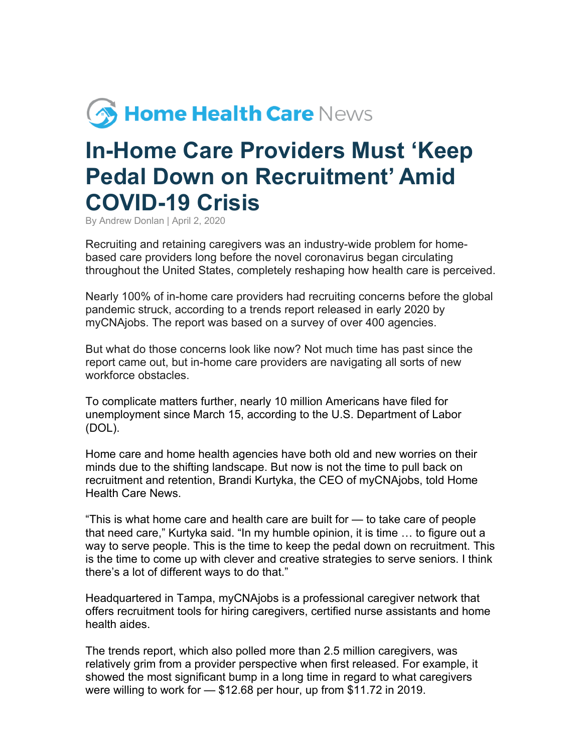## **S Home Health Care News**

## **In-Home Care Providers Must 'Keep Pedal Down on Recruitment' Amid COVID-19 Crisis**

By Andrew Donlan | April 2, 2020

Recruiting and retaining caregivers was an industry-wide problem for homebased care providers long before the novel coronavirus began circulating throughout the United States, completely reshaping how health care is perceived.

Nearly 100% of in-home care providers had recruiting concerns before the global pandemic struck, according to a trends report released in early 2020 by myCNAjobs. The report was based on a survey of over 400 agencies.

But what do those concerns look like now? Not much time has past since the report came out, but in-home care providers are navigating all sorts of new workforce obstacles.

To complicate matters further, nearly 10 million Americans have filed for unemployment since March 15, according to the U.S. Department of Labor (DOL).

Home care and home health agencies have both old and new worries on their minds due to the shifting landscape. But now is not the time to pull back on recruitment and retention, Brandi Kurtyka, the CEO of myCNAjobs, told Home Health Care News.

"This is what home care and health care are built for — to take care of people that need care," Kurtyka said. "In my humble opinion, it is time … to figure out a way to serve people. This is the time to keep the pedal down on recruitment. This is the time to come up with clever and creative strategies to serve seniors. I think there's a lot of different ways to do that."

Headquartered in Tampa, myCNAjobs is a professional caregiver network that offers recruitment tools for hiring caregivers, certified nurse assistants and home health aides.

The trends report, which also polled more than 2.5 million caregivers, was relatively grim from a provider perspective when first released. For example, it showed the most significant bump in a long time in regard to what caregivers were willing to work for — \$12.68 per hour, up from \$11.72 in 2019.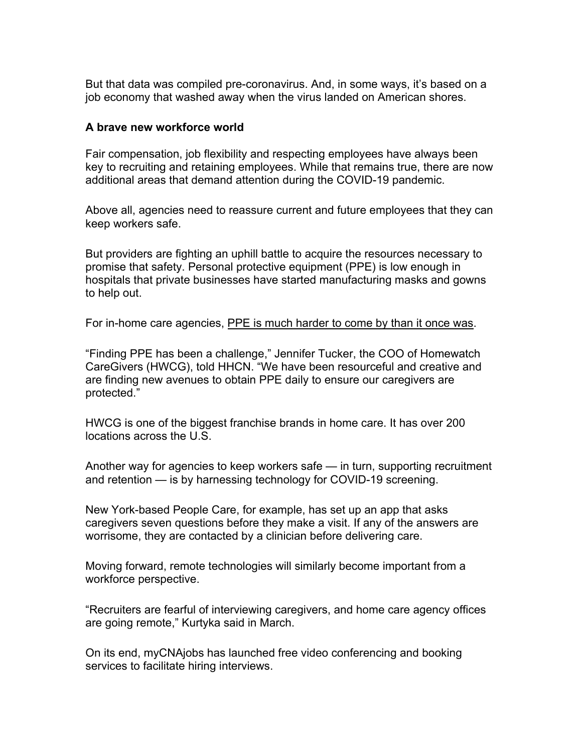But that data was compiled pre-coronavirus. And, in some ways, it's based on a job economy that washed away when the virus landed on American shores.

## **A brave new workforce world**

Fair compensation, job flexibility and respecting employees have always been key to recruiting and retaining employees. While that remains true, there are now additional areas that demand attention during the COVID-19 pandemic.

Above all, agencies need to reassure current and future employees that they can keep workers safe.

But providers are fighting an uphill battle to acquire the resources necessary to promise that safety. Personal protective equipment (PPE) is low enough in hospitals that private businesses have started manufacturing masks and gowns to help out.

For in-home care agencies, PPE is much harder to come by than it once was.

"Finding PPE has been a challenge," Jennifer Tucker, the COO of Homewatch CareGivers (HWCG), told HHCN. "We have been resourceful and creative and are finding new avenues to obtain PPE daily to ensure our caregivers are protected."

HWCG is one of the biggest franchise brands in home care. It has over 200 locations across the U.S.

Another way for agencies to keep workers safe — in turn, supporting recruitment and retention — is by harnessing technology for COVID-19 screening.

New York-based People Care, for example, has set up an app that asks caregivers seven questions before they make a visit. If any of the answers are worrisome, they are contacted by a clinician before delivering care.

Moving forward, remote technologies will similarly become important from a workforce perspective.

"Recruiters are fearful of interviewing caregivers, and home care agency offices are going remote," Kurtyka said in March.

On its end, myCNAjobs has launched free video conferencing and booking services to facilitate hiring interviews.